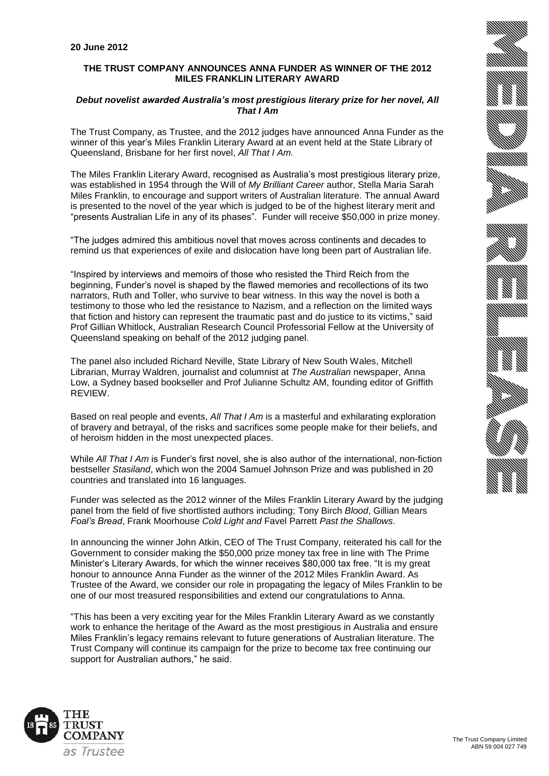## **THE TRUST COMPANY ANNOUNCES ANNA FUNDER AS WINNER OF THE 2012 MILES FRANKLIN LITERARY AWARD**

## *Debut novelist awarded Australia's most prestigious literary prize for her novel, All That I Am*

The Trust Company, as Trustee, and the 2012 judges have announced Anna Funder as the winner of this year's Miles Franklin Literary Award at an event held at the State Library of Queensland, Brisbane for her first novel, *All That I Am.* 

The Miles Franklin Literary Award, recognised as Australia's most prestigious literary prize, was established in 1954 through the Will of *My Brilliant Career* author, Stella Maria Sarah Miles Franklin, to encourage and support writers of Australian literature. The annual Award is presented to the novel of the year which is judged to be of the highest literary merit and "presents Australian Life in any of its phases". Funder will receive \$50,000 in prize money.

"The judges admired this ambitious novel that moves across continents and decades to remind us that experiences of exile and dislocation have long been part of Australian life.

"Inspired by interviews and memoirs of those who resisted the Third Reich from the beginning, Funder's novel is shaped by the flawed memories and recollections of its two narrators, Ruth and Toller, who survive to bear witness. In this way the novel is both a testimony to those who led the resistance to Nazism, and a reflection on the limited ways that fiction and history can represent the traumatic past and do justice to its victims," said Prof Gillian Whitlock, Australian Research Council Professorial Fellow at the University of Queensland speaking on behalf of the 2012 judging panel.

The panel also included Richard Neville, State Library of New South Wales, Mitchell Librarian, Murray Waldren, journalist and columnist at *The Australian* newspaper, Anna Low, a Sydney based bookseller and Prof Julianne Schultz AM, founding editor of Griffith REVIEW.

Based on real people and events, *All That I Am* is a masterful and exhilarating exploration of bravery and betrayal, of the risks and sacrifices some people make for their beliefs, and of heroism hidden in the most unexpected places.

While *All That I Am* is Funder's first novel, she is also author of the international, non-fiction bestseller *Stasiland*, which won the 2004 Samuel Johnson Prize and was published in 20 countries and translated into 16 languages.

Funder was selected as the 2012 winner of the Miles Franklin Literary Award by the judging panel from the field of five shortlisted authors including; Tony Birch *Blood*, Gillian Mears *Foal's Bread*, Frank Moorhouse *Cold Light and* Favel Parrett *Past the Shallows*.

In announcing the winner John Atkin, CEO of The Trust Company, reiterated his call for the Government to consider making the \$50,000 prize money tax free in line with The Prime Minister's Literary Awards, for which the winner receives \$80,000 tax free. "It is my great honour to announce Anna Funder as the winner of the 2012 Miles Franklin Award. As Trustee of the Award, we consider our role in propagating the legacy of Miles Franklin to be one of our most treasured responsibilities and extend our congratulations to Anna.

"This has been a very exciting year for the Miles Franklin Literary Award as we constantly work to enhance the heritage of the Award as the most prestigious in Australia and ensure Miles Franklin's legacy remains relevant to future generations of Australian literature. The Trust Company will continue its campaign for the prize to become tax free continuing our support for Australian authors," he said.